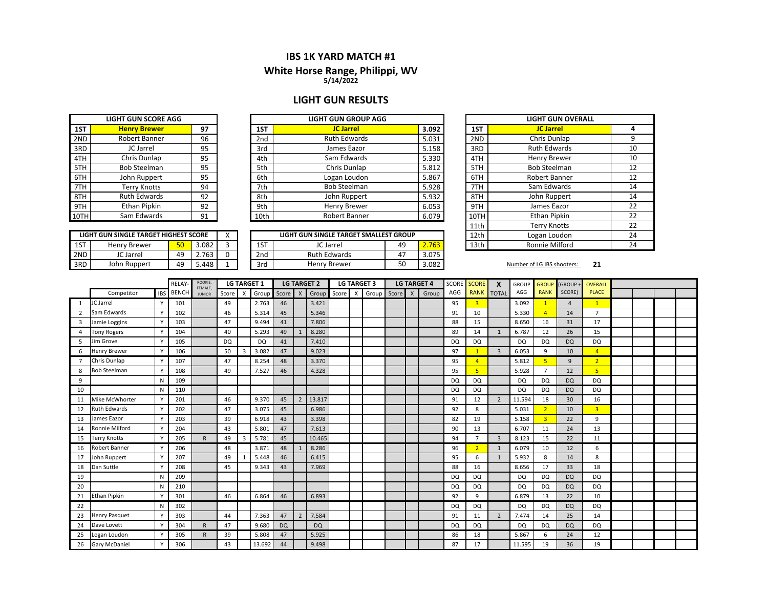#### **IBS 1K YARD MATCH #1**

#### **5/14/2022 White Horse Ran g e, Philippi, WV**

#### **LIGHT GUN RESULTS**

|     | <b>LIGHT GUN SCORE AGG</b> |    |
|-----|----------------------------|----|
| 1ST | <b>Henry Brewer</b>        | 97 |
| 2ND | Robert Banner              | 96 |
| 3RD | JC Jarrel                  | 95 |
| 4TH | Chris Dunlap               | 95 |
| 5TH | <b>Bob Steelman</b>        | 95 |
| 6TH | John Ruppert               | 95 |
| 7TH | <b>Terry Knotts</b>        | 94 |
| 8TH | <b>Ruth Edwards</b>        | 92 |
| 9TH | <b>Ethan Pipkin</b>        | 92 |
|     | Sam Edwards                | 91 |

|     | LIGHT GUN SINGLE TARGET HIGHEST SCORE |    |       |   |  |  |  |  |  |  |  |  |  |  |
|-----|---------------------------------------|----|-------|---|--|--|--|--|--|--|--|--|--|--|
| 1ST | Henry Brewer                          | 50 | 3.082 |   |  |  |  |  |  |  |  |  |  |  |
| 2ND | JC Jarrel                             | 49 | 2.763 | o |  |  |  |  |  |  |  |  |  |  |
| 3RD | John Ruppert                          | 49 | 5.448 |   |  |  |  |  |  |  |  |  |  |  |

|      | LIGHT GUN SCORE AGG |    |                 | LIGHT GUN GROUP AGG |       |      | LIGHT GUN C         |
|------|---------------------|----|-----------------|---------------------|-------|------|---------------------|
| 1ST  | <b>Henry Brewer</b> | 97 | 1ST             | <b>JC Jarrel</b>    | 3.092 | 1ST  | <b>JC Jarrel</b>    |
| 2ND  | Robert Banner       | 96 | 2 <sub>nd</sub> | <b>Ruth Edwards</b> | 5.031 | 2ND  | Chris Dunlap        |
| 3RD  | JC Jarrel           | 95 | 3rd             | James Eazor         | 5.158 | 3RD  | <b>Ruth Edward</b>  |
| 4TH  | Chris Dunlap        | 95 | 4th             | Sam Edwards         | 5.330 | 4TH  | <b>Henry Brewe</b>  |
| 5TH  | <b>Bob Steelman</b> | 95 | 5th             | Chris Dunlap        | 5.812 | 5TH  | <b>Bob Steelmar</b> |
| 6TH  | John Ruppert        | 95 | 6th             | Logan Loudon        | 5.867 | 6TH  | <b>Robert Banne</b> |
| 7TH  | Terry Knotts        | 94 | 7th             | <b>Bob Steelman</b> | 5.928 | 7TH  | Sam Edwards         |
| 8TH  | <b>Ruth Edwards</b> | 92 | 8th             | John Ruppert        | 5.932 | 8TH  | John Rupper         |
| 9TH  | Ethan Pipkin        | 92 | 9th             | Henry Brewer        | 6.053 | 9TH  | James Eazor         |
| 10TH | Sam Edwards         | 91 | 10th            | Robert Banner       | 6.079 | 10TH | <b>Ethan Pipkin</b> |
|      |                     |    |                 |                     |       | .    |                     |

|     |                                       |    |       |         |     |                                        |    |       | ----- |
|-----|---------------------------------------|----|-------|---------|-----|----------------------------------------|----|-------|-------|
|     | LIGHT GUN SINGLE TARGET HIGHEST SCORE |    |       | $\cdot$ |     | LIGHT GUN SINGLE TARGET SMALLEST GROUP |    |       | 12th  |
| 1ST | Henry Brewer                          | 50 | .082  |         | 1ST | JC Jarrel                              | 49 | 2.763 | 13th  |
| 2ND | JC Jarrel                             | 49 | 763   |         | 2nd | <b>Ruth Edwards</b>                    | 47 | 3.075 |       |
| 3RD | John Ruppert                          | 49 | 5.448 |         | 3rd | <b>Henry Brewer</b>                    | 50 | 3.082 |       |

| N GROUP AGG                 |  |       |              | <b>LIGHT GUN OVERALL</b> |    |
|-----------------------------|--|-------|--------------|--------------------------|----|
| <b>Jarrel</b>               |  | 3.092 | 1ST          | <b>JC Jarrel</b>         | 4  |
| Edwards                     |  | 5.031 | 2ND          | Chris Dunlap             | 9  |
| es Eazor                    |  | 5.158 | 3RD          | <b>Ruth Edwards</b>      | 10 |
| Edwards                     |  | 5.330 | 4TH          | <b>Henry Brewer</b>      | 10 |
| s Dunlap                    |  | 5.812 | 5TH          | <b>Bob Steelman</b>      | 12 |
| n Loudon                    |  | 5.867 | 6TH          | Robert Banner            | 12 |
| Steelman                    |  | 5.928 | 7TH          | Sam Edwards              | 14 |
| Ruppert                     |  | 5.932 | 8TH          | John Ruppert             | 14 |
| y Brewer                    |  | 6.053 | 9TH          | James Eazor              | 22 |
| rt Banner                   |  | 6.079 | 10TH         | <b>Ethan Pipkin</b>      | 22 |
|                             |  |       | 11th         | <b>Terry Knotts</b>      | 22 |
| <b>ARGET SMALLEST GROUP</b> |  | 12th  | Logan Loudon | 24                       |    |
| 2.763<br>49                 |  |       | 13th         | Ronnie Milford           | 24 |

2<sup>1</sup>
21

|                |                      |            | RELAY-       | ROOKIE,<br>FEMALE, |       |              | <b>LG TARGET 1</b> |           |                | <b>LG TARGET 2</b>        | <b>LG TARGET 3</b> |  |              | <b>LG TARGET 4</b> |           | SCORE SCORE    | $\mathsf{x}$   | <b>GROUP</b> | <b>GROUP</b>   | (GROUP+        | <b>OVERALL</b> |  |  |
|----------------|----------------------|------------|--------------|--------------------|-------|--------------|--------------------|-----------|----------------|---------------------------|--------------------|--|--------------|--------------------|-----------|----------------|----------------|--------------|----------------|----------------|----------------|--|--|
|                | Competitor           | <b>IBS</b> | <b>BENCH</b> | <b>JUNIOR</b>      | Score | $\mathsf{X}$ | Group              | Score     | $\mathsf{X}$   | Group Score X Group Score |                    |  | $\mathsf{X}$ | Group              | AGG       | RANK TOTAL     |                | AGG          | <b>RANK</b>    | SCORE)         | <b>PLACE</b>   |  |  |
| 1              | JC Jarrel            |            | 101          |                    | 49    |              | 2.763              | 46        |                | 3.421                     |                    |  |              |                    | 95        | $\overline{3}$ |                | 3.092        | $\mathbf{1}$   | $\overline{4}$ | $\mathbf{1}$   |  |  |
|                | Sam Edwards          |            | 102          |                    | 46    |              | 5.314              | 45        |                | 5.346                     |                    |  |              |                    | 91        | 10             |                | 5.330        | $\overline{A}$ | 14             | $\overline{7}$ |  |  |
| 3              | Jamie Loggins        |            | 103          |                    | 47    |              | 9.494              | 41        |                | 7.806                     |                    |  |              |                    | 88        | 15             |                | 8.650        | 16             | 31             | 17             |  |  |
| $\overline{a}$ | <b>Tony Rogers</b>   |            | 104          |                    | 40    |              | 5.293              | 49        | $\mathbf{1}$   | 8.280                     |                    |  |              |                    | 89        | 14             | 1              | 6.787        | 12             | 26             | 15             |  |  |
| .5             | Jim Grove            |            | 105          |                    | DQ    |              | <b>DQ</b>          | 41        |                | 7.410                     |                    |  |              |                    | <b>DQ</b> | DQ             |                | DQ           | <b>DQ</b>      | <b>DQ</b>      | DQ             |  |  |
| 6              | <b>Henry Brewer</b>  |            | 106          |                    | 50    | 3            | 3.082              | 47        |                | 9.023                     |                    |  |              |                    | 97        |                | $\overline{3}$ | 6.053        | 9              | 10             | $\overline{4}$ |  |  |
| $\overline{7}$ | Chris Dunlap         |            | 107          |                    | 47    |              | 8.254              | 48        |                | 3.370                     |                    |  |              |                    | 95        | $\overline{A}$ |                | 5.812        | 5              | 9              | 2 <sup>1</sup> |  |  |
| 8              | <b>Bob Steelman</b>  |            | 108          |                    | 49    |              | 7.527              | 46        |                | 4.328                     |                    |  |              |                    | 95        | 5              |                | 5.928        | $\overline{7}$ | 12             | 5 <sup>1</sup> |  |  |
| 9              |                      | N          | 109          |                    |       |              |                    |           |                |                           |                    |  |              |                    | <b>DQ</b> | DQ             |                | DQ           | DQ             | <b>DQ</b>      | DQ             |  |  |
| 10             |                      | N          | 110          |                    |       |              |                    |           |                |                           |                    |  |              |                    | <b>DQ</b> | DQ             |                | DQ           | <b>DQ</b>      | <b>DQ</b>      | DQ             |  |  |
| 11             | Mike McWhorter       |            | 201          |                    | 46    |              | 9.370              | 45        | $\overline{2}$ | 13.817                    |                    |  |              |                    | 91        | 12             | 2              | 11.594       | 18             | 30             | 16             |  |  |
| 12             | <b>Ruth Edwards</b>  |            | 202          |                    | 47    |              | 3.075              | 45        |                | 6.986                     |                    |  |              |                    | 92        | 8              |                | 5.031        | $\overline{2}$ | 10             | $\overline{3}$ |  |  |
| 13             | James Eazor          |            | 203          |                    | 39    |              | 6.918              | 43        |                | 3.398                     |                    |  |              |                    | 82        | 19             |                | 5.158        | $\overline{3}$ | 22             | 9              |  |  |
| 14             | Ronnie Milford       |            | 204          |                    | 43    |              | 5.801              | 47        |                | 7.613                     |                    |  |              |                    | 90        | 13             |                | 6.707        | 11             | 24             | 13             |  |  |
| 15             | <b>Terry Knotts</b>  |            | 205          | $\mathsf{R}$       | 49    | 3            | 5.781              | 45        |                | 10.465                    |                    |  |              |                    | 94        | $\overline{7}$ | $\overline{3}$ | 8.123        | 15             | 22             | 11             |  |  |
| 16             | Robert Banner        |            | 206          |                    | 48    |              | 3.871              | 48        | $\mathbf{1}$   | 8.286                     |                    |  |              |                    | 96        | $\overline{2}$ | 1              | 6.079        | 10             | 12             | 6              |  |  |
| 17             | John Ruppert         |            | 207          |                    | 49    |              | 5.448              | 46        |                | 6.415                     |                    |  |              |                    | 95        | 6              | 1              | 5.932        | 8              | 14             | 8              |  |  |
| 18             | Dan Suttle           |            | 208          |                    | 45    |              | 9.343              | 43        |                | 7.969                     |                    |  |              |                    | 88        | 16             |                | 8.656        | 17             | 33             | 18             |  |  |
| 19             |                      | N          | 209          |                    |       |              |                    |           |                |                           |                    |  |              |                    | <b>DQ</b> | DQ             |                | DQ           | <b>DQ</b>      | <b>DQ</b>      | DQ             |  |  |
| 20             |                      | N          | 210          |                    |       |              |                    |           |                |                           |                    |  |              |                    | <b>DQ</b> | DQ             |                | <b>DQ</b>    | <b>DQ</b>      | <b>DQ</b>      | DQ             |  |  |
| 21             | <b>Ethan Pipkin</b>  |            | 301          |                    | 46    |              | 6.864              | 46        |                | 6.893                     |                    |  |              |                    | 92        | 9              |                | 6.879        | 13             | 22             | 10             |  |  |
| 22             |                      | N          | 302          |                    |       |              |                    |           |                |                           |                    |  |              |                    | <b>DQ</b> | DQ             |                | DQ           | <b>DQ</b>      | <b>DQ</b>      | <b>DQ</b>      |  |  |
| 23             | <b>Henry Pasquet</b> |            | 303          |                    | 44    |              | 7.363              | 47        | $\overline{2}$ | 7.584                     |                    |  |              |                    | 91        | 11             | 2              | 7.474        | 14             | 25             | 14             |  |  |
| 24             | Dave Lovett          |            | 304          | $\mathsf{R}$       | 47    |              | 9.680              | <b>DQ</b> |                | <b>DQ</b>                 |                    |  |              |                    | <b>DQ</b> | DQ             |                | DQ           | <b>DQ</b>      | <b>DQ</b>      | DQ             |  |  |
| 25             | Logan Loudon         |            | 305          | $\mathsf{R}$       | 39    |              | 5.808              | 47        |                | 5.925                     |                    |  |              |                    | 86        | 18             |                | 5.867        | 6              | 24             | 12             |  |  |
| 26             | <b>Gary McDaniel</b> |            | 306          |                    | 43    |              | 13.692             | 44        |                | 9.498                     |                    |  |              |                    | 87        | 17             |                | 11.595       | 19             | 36             | 19             |  |  |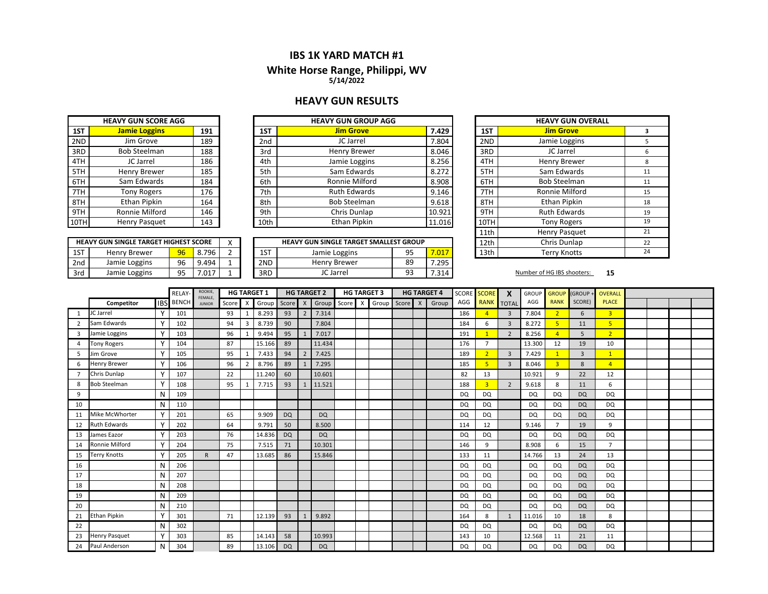#### **IBS 1K YARD MATCH #1**

# **White Horse Ran g e, Philippi, WV**

**5/14/2022**

### **HEAVY GUN RESULTS**

| <b>HEAVY GUN SCORE AGG</b> |                      |     |  |  |  |  |  |  |  |  |  |
|----------------------------|----------------------|-----|--|--|--|--|--|--|--|--|--|
| 1ST                        | <b>Jamie Loggins</b> | 191 |  |  |  |  |  |  |  |  |  |
| 2ND                        | Jim Grove            | 189 |  |  |  |  |  |  |  |  |  |
| 3RD                        | <b>Bob Steelman</b>  | 188 |  |  |  |  |  |  |  |  |  |
| 4TH                        | JC Jarrel            | 186 |  |  |  |  |  |  |  |  |  |
| 5TH                        | <b>Henry Brewer</b>  | 185 |  |  |  |  |  |  |  |  |  |
| 6TH                        | Sam Edwards          | 184 |  |  |  |  |  |  |  |  |  |
| 7TH                        | <b>Tony Rogers</b>   | 176 |  |  |  |  |  |  |  |  |  |
| 8TH                        | <b>Ethan Pipkin</b>  | 164 |  |  |  |  |  |  |  |  |  |
| 9TH                        | Ronnie Milford       | 146 |  |  |  |  |  |  |  |  |  |
|                            | Henry Pasquet        | 143 |  |  |  |  |  |  |  |  |  |

|     |                     | <b>HEAVY GUN SINGLE TARGET HIGHEST SCORE</b> |       |  |  |  |  |  |  |  |  |  |  |  |  |
|-----|---------------------|----------------------------------------------|-------|--|--|--|--|--|--|--|--|--|--|--|--|
| 1ST | <b>Henry Brewer</b> | 96                                           | 8.796 |  |  |  |  |  |  |  |  |  |  |  |  |
| 2nd | Jamie Loggins       | 96                                           | 9.494 |  |  |  |  |  |  |  |  |  |  |  |  |
| 3rd | Jamie Loggins       | 95                                           | 7 017 |  |  |  |  |  |  |  |  |  |  |  |  |

|      |        | <b>HEAVY GUN GROUP AGG</b> |                 |     | <b>HEAVY GUN SCORE AGG</b> |  |        |
|------|--------|----------------------------|-----------------|-----|----------------------------|--|--------|
| 1ST  | 7.429  | <b>Jim Grove</b>           | 1ST             | 191 | <b>Jamie Loggins</b>       |  | 1ST    |
| 2ND  | 7.804  | JC Jarrel                  | 2 <sub>nd</sub> | 189 | Jim Grove                  |  | 2ND    |
| 3RD  | 8.046  | <b>Henry Brewer</b>        | 3rd             | 188 | <b>Bob Steelman</b>        |  | 3RD    |
| 4TH  | 8.256  | Jamie Loggins              | 4th             | 186 | JC Jarrel                  |  | 4TH    |
| 5TH  | 8.272  | Sam Edwards                | 5th             | 185 | <b>Henry Brewer</b>        |  | 5TH    |
| 6TH  | 8.908  | Ronnie Milford             | 6th             | 184 | Sam Edwards                |  | 6TH    |
| 7TH  | 9.146  | <b>Ruth Edwards</b>        | 7th             | 176 | <b>Tony Rogers</b>         |  | 7TH    |
| 8TH  | 9.618  | <b>Bob Steelman</b>        | 8th             | 164 | Ethan Pipkin               |  | 8TH    |
| 9TH  | 10.921 | Chris Dunlap               | 9th             | 146 | Ronnie Milford             |  | 9TH    |
| 10TH | 11.016 | Ethan Pipkin               | 10th            | 143 | Henry Pasquet              |  | 10TH l |

|     | <b>HEAVY GUN SINGLE TARGET HIGHEST SCORE</b> |           |      |  |     | <b>HEAVY GUN SINGLE TARGET SMALLEST GROUP</b> |           |       | 12th | Chris Dunlap           |
|-----|----------------------------------------------|-----------|------|--|-----|-----------------------------------------------|-----------|-------|------|------------------------|
| 1ST | <b>Henry Brewer</b>                          | 96        | .796 |  | 1ST | Jamie Loggins                                 | ۹5<br>J J | .017  | 13th | Terrv Knotts           |
| 2nd | Jamie Loggins                                | 96        | 494  |  | 2ND | Henry Brewer                                  | 89        | '.295 |      |                        |
| 3rd | Jamie Loggins                                | ۵Ę<br>ر ر | .017 |  | 3RD | JC Jarrel                                     | ۹R        | .314  |      | Number of HG IBS shoot |

| /Y GUN GROUP AGG                  |             |      | <b>HEAVY GUN OVERALL</b> |    |
|-----------------------------------|-------------|------|--------------------------|----|
| <b>Jim Grove</b>                  | 7.429       | 1ST  | <b>Jim Grove</b>         | з  |
| JC Jarrel                         | 7.804       | 2ND  | Jamie Loggins            | 5  |
| <b>Henry Brewer</b>               | 8.046       | 3RD  | JC Jarrel                | 6  |
| Jamie Loggins                     | 8.256       | 4TH  | <b>Henry Brewer</b>      | 8  |
| Sam Edwards                       | 8.272       | 5TH  | Sam Edwards              | 11 |
| Ronnie Milford                    | 8.908       | 6TH  | <b>Bob Steelman</b>      | 11 |
| <b>Ruth Edwards</b>               | 9.146       | 7TH  | Ronnie Milford           | 15 |
| <b>Bob Steelman</b>               | 9.618       | 8TH  | <b>Ethan Pipkin</b>      | 18 |
| Chris Dunlap                      | 10.921      | 9TH  | <b>Ruth Edwards</b>      | 19 |
| Ethan Pipkin                      | 11.016      | 10TH | <b>Tony Rogers</b>       | 19 |
|                                   |             | 11th | Henry Pasquet            | 21 |
| <b>NGLE TARGET SMALLEST GROUP</b> |             | 12th | Chris Dunlap             | 22 |
| e Loggins                         | 95<br>7.017 | 13th | <b>Terry Knotts</b>      | 24 |

#### **15** Number of HG IBS shooters:

|                |                      |              | RELAY-           | ROOKIE,<br>FEMALE, |       |                           | <b>HG TARGET 1</b> |           | <b>HG TARGET 2</b> |           |       |                           | <b>HG TARGET 3</b> | <b>HG TARGET 4</b> |  | <b>SCORE</b> | <b>SCORE</b>  | X              | <b>GROUP</b>   | <b>GROUP</b> | <b>GROUP</b>            | <b>OVERALL</b> |                |  |  |
|----------------|----------------------|--------------|------------------|--------------------|-------|---------------------------|--------------------|-----------|--------------------|-----------|-------|---------------------------|--------------------|--------------------|--|--------------|---------------|----------------|----------------|--------------|-------------------------|----------------|----------------|--|--|
|                | Competitor           |              | <b>IBS</b> BENCH | <b>JUNIOR</b>      | Score | $\boldsymbol{\mathsf{x}}$ | Group              | Score     | $\mathsf{X}$       | Group     | Score | $\boldsymbol{\mathsf{x}}$ | Group Score X      |                    |  | Group        | AGG           | <b>RANK</b>    | <b>TOTAL</b>   | AGG          | <b>RANK</b>             | SCORE)         | <b>PLACE</b>   |  |  |
| 1              | JC Jarrel            |              | 101              |                    | 93    | $\mathbf{1}$              | 8.293              | 93        | $\overline{2}$     | 7.314     |       |                           |                    |                    |  |              | 186           | $\overline{4}$ | $\overline{3}$ | 7.804        | $\overline{2}$          | 6              | $\overline{3}$ |  |  |
| $\overline{2}$ | Sam Edwards          | γ            | 102              |                    | 94    | 3                         | 8.739              | 90        |                    | 7.804     |       |                           |                    |                    |  |              | 184           | 6              | $\overline{3}$ | 8.272        | 5                       | 11             | 5              |  |  |
| 3              | Jamie Loggins        |              | 103              |                    | 96    |                           | 9.494              | 95        |                    | 7.017     |       |                           |                    |                    |  |              | 191           | $\overline{1}$ | $\overline{2}$ | 8.256        | $\overline{4}$          | 5              | 2 <sup>1</sup> |  |  |
| $\overline{a}$ | <b>Tony Rogers</b>   |              | 104              |                    | 87    |                           | 15.166             | 89        |                    | 11.434    |       |                           |                    |                    |  |              | 176           | $\overline{7}$ |                | 13.300       | 12                      | 19             | 10             |  |  |
| 5              | Jim Grove            | $\checkmark$ | 105              |                    | 95    |                           | 7.433              | 94        | $\overline{2}$     | 7.425     |       |                           |                    |                    |  |              | 189           | $\overline{2}$ | $\overline{3}$ | 7.429        |                         | $\overline{3}$ | $\mathbf{1}$   |  |  |
| 6              | <b>Henry Brewer</b>  |              | 106              |                    | 96    | $\overline{2}$            | 8.796              | 89        |                    | 7.295     |       |                           |                    |                    |  |              | 185           | 5              | $\overline{3}$ | 8.046        | $\overline{\mathbf{3}}$ | 8              | $\overline{4}$ |  |  |
| $\overline{7}$ | Chris Dunlap         | Y            | 107              |                    | 22    |                           | 11.240             | 60        |                    | 10.601    |       |                           |                    |                    |  |              | 82            | 13             |                | 10.921       | 9                       | 22             | 12             |  |  |
| 8              | <b>Bob Steelman</b>  | Υ            | 108              |                    | 95    |                           | 7.715              | 93        | $\mathbf{1}$       | 11.521    |       |                           |                    |                    |  |              | 188           | $\overline{3}$ | $\overline{2}$ | 9.618        | 8                       | 11             | 6              |  |  |
| 9              |                      | N            | 109              |                    |       |                           |                    |           |                    |           |       |                           |                    |                    |  |              | DQ            | DQ             |                | DQ           | DQ                      | <b>DQ</b>      | DQ             |  |  |
| 10             |                      | N            | 110              |                    |       |                           |                    |           |                    |           |       |                           |                    |                    |  |              | <b>DQ</b>     | <b>DQ</b>      |                | <b>DQ</b>    | <b>DQ</b>               | <b>DQ</b>      | <b>DQ</b>      |  |  |
| 11             | Mike McWhorter       |              | 201              |                    | 65    |                           | 9.909              | <b>DQ</b> |                    | <b>DQ</b> |       |                           |                    |                    |  |              | DQ            | DQ             |                | <b>DQ</b>    | <b>DQ</b>               | <b>DQ</b>      | <b>DQ</b>      |  |  |
| 12             | <b>Ruth Edwards</b>  | $\vee$       | 202              |                    | 64    |                           | 9.791              | 50        |                    | 8.500     |       |                           |                    |                    |  |              | 114           | 12             |                | 9.146        | $\overline{7}$          | 19             | 9              |  |  |
| 13             | James Eazor          | $\checkmark$ | 203              |                    | 76    |                           | 14.836             | <b>DQ</b> |                    | <b>DQ</b> |       |                           |                    |                    |  |              | <b>DQ</b>     | <b>DQ</b>      |                | <b>DQ</b>    | <b>DQ</b>               | <b>DQ</b>      | <b>DQ</b>      |  |  |
| 14             | Ronnie Milford       | Y            | 204              |                    | 75    |                           | 7.515              | 71        |                    | 10.301    |       |                           |                    |                    |  |              | 146           | 9              |                | 8.908        | 6                       | 15             | $\overline{7}$ |  |  |
| 15             | Terry Knotts         |              | 205              | $\mathsf{R}$       | 47    |                           | 13.685             | 86        |                    | 15.846    |       |                           |                    |                    |  |              | 133           | 11             |                | 14.766       | 13                      | 24             | 13             |  |  |
| 16             |                      | N            | 206              |                    |       |                           |                    |           |                    |           |       |                           |                    |                    |  |              | DQ            | <b>DQ</b>      |                | <b>DQ</b>    | DQ                      | <b>DQ</b>      | DQ             |  |  |
| 17             |                      | N            | 207              |                    |       |                           |                    |           |                    |           |       |                           |                    |                    |  |              | <sub>DO</sub> | <b>DQ</b>      |                | <b>DO</b>    | <b>DQ</b>               | <b>DQ</b>      | <b>DQ</b>      |  |  |
| 18             |                      | N            | 208              |                    |       |                           |                    |           |                    |           |       |                           |                    |                    |  |              | DQ            | <b>DQ</b>      |                | DQ           | DQ                      | <b>DQ</b>      | DQ             |  |  |
| 19             |                      | N            | 209              |                    |       |                           |                    |           |                    |           |       |                           |                    |                    |  |              | <b>DQ</b>     | <b>DQ</b>      |                | <b>DQ</b>    | DQ                      | <b>DQ</b>      | <b>DQ</b>      |  |  |
| 20             |                      | N            | 210              |                    |       |                           |                    |           |                    |           |       |                           |                    |                    |  |              | <sub>DO</sub> | <b>DQ</b>      |                | <b>DQ</b>    | <b>DQ</b>               | <b>DQ</b>      | <b>DQ</b>      |  |  |
| 21             | <b>Ethan Pipkin</b>  |              | 301              |                    | 71    |                           | 12.139             | 93        | 1                  | 9.892     |       |                           |                    |                    |  |              | 164           | 8              | $\mathbf{1}$   | 11.016       | 10                      | 18             | 8              |  |  |
| 22             |                      | N            | 302              |                    |       |                           |                    |           |                    |           |       |                           |                    |                    |  |              | <b>DQ</b>     | <b>DQ</b>      |                | <b>DQ</b>    | DQ                      | <b>DQ</b>      | DQ             |  |  |
| 23             | <b>Henry Pasquet</b> | <b>V</b>     | 303              |                    | 85    |                           | 14.143             | 58        |                    | 10.993    |       |                           |                    |                    |  |              | 143           | 10             |                | 12.568       | 11                      | 21             | 11             |  |  |
| 24             | Paul Anderson        | N            | 304              |                    | 89    |                           | 13.106             | <b>DQ</b> |                    | <b>DQ</b> |       |                           |                    |                    |  |              | <b>DQ</b>     | <b>DQ</b>      |                | DQ           | DQ                      | <b>DQ</b>      | DQ             |  |  |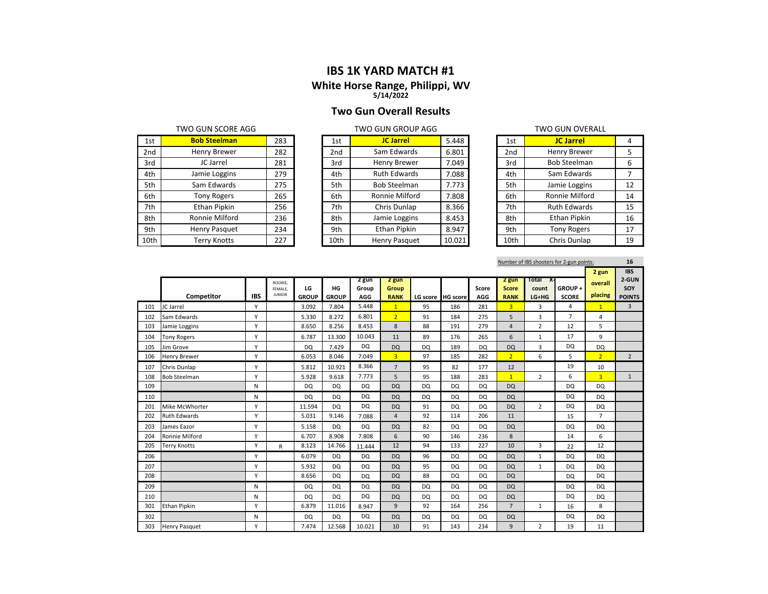## **IBS 1K YARD MATCH #1**

#### **White Horse Ran g e, Philippi, WV 5/14/2022**

#### **Two Gun Overall Results**

| 1st  | <b>Bob Steelman</b> | 283 | 1st             | <b>JC Jarrel</b>    | 5.448  | 1st  | <b>JC Jarrel</b>    | 4  |
|------|---------------------|-----|-----------------|---------------------|--------|------|---------------------|----|
| 2nd  | Henry Brewer        | 282 | 2 <sub>nd</sub> | Sam Edwards         | 6.801  | 2nd  | <b>Henry Brewer</b> |    |
| 3rd  | JC Jarrel           | 281 | 3rd             | <b>Henry Brewer</b> | 7.049  | 3rd  | <b>Bob Steelman</b> | 6  |
| 4th  | Jamie Loggins       | 279 | 4th             | <b>Ruth Edwards</b> | 7.088  | 4th  | Sam Edwards         |    |
| 5th  | Sam Edwards         | 275 | 5th             | <b>Bob Steelman</b> | 7.773  | 5th  | Jamie Loggins       | 12 |
| 6th  | <b>Tony Rogers</b>  | 265 | 6th             | Ronnie Milford      | 7.808  | 6th  | Ronnie Milford      | 14 |
| 7th  | Ethan Pipkin        | 256 | 7th             | Chris Dunlap        | 8.366  | 7th  | <b>Ruth Edwards</b> | 15 |
| 8th  | Ronnie Milford      | 236 | 8th             | Jamie Loggins       | 8.453  | 8th  | Ethan Pipkin        | 16 |
| 9th  | Henry Pasquet       | 234 | 9th             | <b>Ethan Pipkin</b> | 8.947  | 9th  | <b>Tony Rogers</b>  | 17 |
| 10th | <b>Terry Knotts</b> | 227 | 10th            | Henry Pasquet       | 10.021 | 10th | Chris Dunlap        | 19 |

|      | טטא <i>ז</i> טעזט טועט טא |        |
|------|---------------------------|--------|
| 1st  | <b>JC Jarrel</b>          | 5.448  |
| 2nd  | Sam Edwards               | 6.801  |
| 3rd  | <b>Henry Brewer</b>       | 7.049  |
| 4th  | <b>Ruth Edwards</b>       | 7.088  |
| 5th  | <b>Bob Steelman</b>       | 7.773  |
| 6th  | Ronnie Milford            | 7.808  |
| 7th  | Chris Dunlap              | 8.366  |
| 8th  | Jamie Loggins             | 8.453  |
| 9th  | <b>Ethan Pipkin</b>       | 8.947  |
| 10th | Henry Pasquet             | 10.021 |

| TWO GUN SCORE AGG    |     |      | TWO GUN GROUP AGG   | <b>TWO GUN OVERALL</b> |  |      |                     |    |  |
|----------------------|-----|------|---------------------|------------------------|--|------|---------------------|----|--|
| <b>Bob Steelman</b>  | 283 | 1st  | <b>JC Jarrel</b>    | 5.448                  |  | 1st  | <b>JC Jarrel</b>    | 4  |  |
| Henry Brewer         | 282 | 2nd  | Sam Edwards         | 6.801                  |  | 2nd  | Henry Brewer        | 5  |  |
| JC Jarrel            | 281 | 3rd  | Henry Brewer        | 7.049                  |  | 3rd  | <b>Bob Steelman</b> | 6  |  |
| Jamie Loggins        | 279 | 4th  | <b>Ruth Edwards</b> | 7.088                  |  | 4th  | Sam Edwards         |    |  |
| Sam Edwards          | 275 | 5th  | <b>Bob Steelman</b> | 7.773                  |  | 5th  | Jamie Loggins       | 12 |  |
| <b>Tony Rogers</b>   | 265 | 6th  | Ronnie Milford      | 7.808                  |  | 6th  | Ronnie Milford      | 14 |  |
| Ethan Pipkin         | 256 | 7th  | Chris Dunlap        | 8.366                  |  | 7th  | <b>Ruth Edwards</b> | 15 |  |
| Ronnie Milford       | 236 | 8th  | Jamie Loggins       | 8.453                  |  | 8th  | Ethan Pipkin        | 16 |  |
| <b>Henry Pasquet</b> | 234 | 9th  | Ethan Pipkin        | 8.947                  |  | 9th  | <b>Tony Rogers</b>  | 17 |  |
| Terry Knotts         | 227 | 10th | Henry Pasquet       | 10.021                 |  | 10th | Chris Dunlap        | 19 |  |

|     | Number of IBS shooters for 2-gun points: |            |                    |              |              |                |                |           |                   |            |                       |                      |                |                | 16             |
|-----|------------------------------------------|------------|--------------------|--------------|--------------|----------------|----------------|-----------|-------------------|------------|-----------------------|----------------------|----------------|----------------|----------------|
|     |                                          |            |                    |              |              |                |                |           |                   |            |                       |                      |                | 2 gun          | <b>IBS</b>     |
|     |                                          |            | ROOKIE,<br>FEMALE, | LG           | HG           | 2 gun<br>Group | 2 gun<br>Group |           |                   | Score      | 2 gun<br><b>Score</b> | Total<br>Х.<br>count | GROUP+         | overall        | 2-GUN<br>SOY   |
|     | Competitor                               | <b>IBS</b> | <b>JUNIOR</b>      | <b>GROUP</b> | <b>GROUP</b> | AGG            | <b>RANK</b>    |           | LG score HG score | <b>AGG</b> | <b>RANK</b>           | LG+HG                | <b>SCORE</b>   | placing        | <b>POINTS</b>  |
| 101 | JC Jarrel                                | Y          |                    | 3.092        | 7.804        | 5.448          | $\overline{1}$ | 95        | 186               | 281        | 3 <sup>2</sup>        | 3                    | $\overline{4}$ | $\mathbf{1}$   | $\overline{3}$ |
| 102 | Sam Edwards                              | Υ          |                    | 5.330        | 8.272        | 6.801          | 2 <sup>1</sup> | 91        | 184               | 275        | 5                     | 3                    | $\overline{7}$ | 4              |                |
| 103 | Jamie Loggins                            | Υ          |                    | 8.650        | 8.256        | 8.453          | 8              | 88        | 191               | 279        | $\overline{4}$        | $\overline{2}$       | 12             | 5              |                |
| 104 | <b>Tony Rogers</b>                       | Υ          |                    | 6.787        | 13.300       | 10.043         | 11             | 89        | 176               | 265        | 6                     | 1                    | 17             | 9              |                |
| 105 | Jim Grove                                | Υ          |                    | <b>DQ</b>    | 7.429        | <b>DQ</b>      | <b>DQ</b>      | <b>DQ</b> | 189               | <b>DQ</b>  | <b>DQ</b>             | 3                    | <b>DQ</b>      | DQ             |                |
| 106 | <b>Henry Brewer</b>                      | Υ          |                    | 6.053        | 8.046        | 7.049          | $\overline{3}$ | 97        | 185               | 282        | 2 <sup>1</sup>        | 6                    | 5              | 2 <sup>1</sup> | $\overline{2}$ |
| 107 | Chris Dunlap                             | Υ          |                    | 5.812        | 10.921       | 8.366          | $\overline{7}$ | 95        | 82                | 177        | 12                    |                      | 19             | 10             |                |
| 108 | <b>Bob Steelman</b>                      | Υ          |                    | 5.928        | 9.618        | 7.773          | 5              | 95        | 188               | 283        | 1                     | $\overline{2}$       | 6              | $\overline{3}$ | $\mathbf{1}$   |
| 109 |                                          | N          |                    | <b>DQ</b>    | <b>DQ</b>    | <b>DQ</b>      | <b>DQ</b>      | <b>DQ</b> | DQ                | <b>DQ</b>  | <b>DQ</b>             |                      | <b>DQ</b>      | DQ             |                |
| 110 |                                          | N          |                    | <b>DQ</b>    | <b>DQ</b>    | DQ             | <b>DQ</b>      | <b>DQ</b> | DQ                | <b>DQ</b>  | <b>DQ</b>             |                      | <b>DQ</b>      | DQ             |                |
| 201 | Mike McWhorter                           | Υ          |                    | 11.594       | DQ           | <b>DQ</b>      | <b>DQ</b>      | 91        | <b>DQ</b>         | <b>DQ</b>  | <b>DQ</b>             | $\overline{2}$       | <b>DQ</b>      | DQ             |                |
| 202 | <b>Ruth Edwards</b>                      | Υ          |                    | 5.031        | 9.146        | 7.088          | $\overline{4}$ | 92        | 114               | 206        | 11                    |                      | 15             | $\overline{7}$ |                |
| 203 | James Eazor                              | Υ          |                    | 5.158        | DQ           | <b>DQ</b>      | <b>DQ</b>      | 82        | DQ                | <b>DQ</b>  | <b>DQ</b>             |                      | <b>DQ</b>      | DQ             |                |
| 204 | Ronnie Milford                           | Υ          |                    | 6.707        | 8.908        | 7.808          | 6              | 90        | 146               | 236        | 8                     |                      | 14             | 6              |                |
| 205 | <b>Terry Knotts</b>                      | Y          | $\mathsf{R}$       | 8.123        | 14.766       | 11.444         | 12             | 94        | 133               | 227        | 10                    | 3                    | 22             | 12             |                |
| 206 |                                          | Υ          |                    | 6.079        | DQ.          | <b>DQ</b>      | <b>DQ</b>      | 96        | DQ                | <b>DQ</b>  | <b>DQ</b>             | $\mathbf{1}$         | <b>DQ</b>      | DQ             |                |
| 207 |                                          | Υ          |                    | 5.932        | <b>DQ</b>    | <b>DQ</b>      | <b>DQ</b>      | 95        | DQ                | <b>DQ</b>  | <b>DQ</b>             | $\mathbf{1}$         | <b>DQ</b>      | DQ             |                |
| 208 |                                          | Y          |                    | 8.656        | <b>DQ</b>    | DQ             | <b>DQ</b>      | 88        | DQ                | <b>DQ</b>  | <b>DQ</b>             |                      | <b>DQ</b>      | DQ             |                |
| 209 |                                          | N          |                    | <b>DQ</b>    | <b>DQ</b>    | DQ             | <b>DQ</b>      | <b>DQ</b> | DQ                | DQ         | <b>DQ</b>             |                      | DQ             | <b>DQ</b>      |                |
| 210 |                                          | N          |                    | <b>DQ</b>    | <b>DQ</b>    | <b>DQ</b>      | <b>DQ</b>      | <b>DQ</b> | DQ                | <b>DQ</b>  | <b>DQ</b>             |                      | <b>DQ</b>      | DQ             |                |
| 301 | <b>Ethan Pipkin</b>                      | Υ          |                    | 6.879        | 11.016       | 8.947          | 9              | 92        | 164               | 256        | $7\overline{ }$       | 1                    | 16             | 8              |                |
| 302 |                                          | N          |                    | DQ           | <b>DQ</b>    | <b>DQ</b>      | <b>DQ</b>      | <b>DQ</b> | DQ                | <b>DQ</b>  | <b>DQ</b>             |                      | <b>DQ</b>      | DQ             |                |
| 303 | <b>Henry Pasquet</b>                     | Υ          |                    | 7.474        | 12.568       | 10.021         | 10             | 91        | 143               | 234        | 9                     | $\overline{2}$       | 19             | 11             |                |